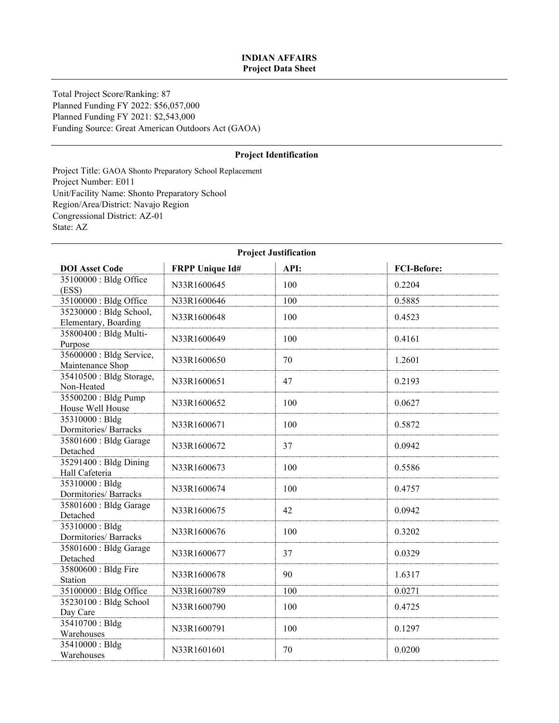### **INDIAN AFFAIRS Project Data Sheet**

Total Project Score/Ranking: 87 Planned Funding FY 2022: \$56,057,000 Planned Funding FY 2021: \$2,543,000 Funding Source: Great American Outdoors Act (GAOA)

### **Project Identification**

Project Title: GAOA Shonto Preparatory School Replacement Project Number: E011 Unit/Facility Name: Shonto Preparatory School Region/Area/District: Navajo Region Congressional District: AZ-01 State: AZ

| <b>DOI</b> Asset Code                           | <b>FRPP Unique Id#</b> | API: | <b>FCI-Before:</b> |  |
|-------------------------------------------------|------------------------|------|--------------------|--|
| 35100000 : Bldg Office<br>(ESS)                 | N33R1600645            | 100  | 0.2204             |  |
| 35100000 : Bldg Office                          | N33R1600646            | 100  | 0.5885             |  |
| 35230000 : Bldg School,<br>Elementary, Boarding | N33R1600648            | 100  | 0.4523             |  |
| 35800400 : Bldg Multi-<br>Purpose               | N33R1600649            | 100  | 0.4161             |  |
| 35600000 : Bldg Service,<br>Maintenance Shop    | N33R1600650            | 70   | 1.2601             |  |
| 35410500 : Bldg Storage,<br>Non-Heated          | N33R1600651            | 47   | 0.2193             |  |
| 35500200 : Bldg Pump<br>House Well House        | N33R1600652            | 100  | 0.0627             |  |
| 35310000: Bldg<br>Dormitories/ Barracks         | N33R1600671            | 100  | 0.5872             |  |
| 35801600 : Bldg Garage<br>Detached              | N33R1600672            | 37   | 0.0942             |  |
| 35291400 : Bldg Dining<br>Hall Cafeteria        | N33R1600673            | 100  | 0.5586             |  |
| 35310000: Bldg<br>Dormitories/ Barracks         | N33R1600674            | 100  | 0.4757             |  |
| 35801600 : Bldg Garage<br>Detached              | N33R1600675            | 42   | 0.0942             |  |
| 35310000: Bldg<br>Dormitories/ Barracks         | N33R1600676            | 100  | 0.3202             |  |
| 35801600 : Bldg Garage<br>Detached              | N33R1600677            | 37   | 0.0329             |  |
| 35800600 : Bldg Fire<br>Station                 | N33R1600678            | 90   | 1.6317             |  |
| 35100000 : Bldg Office                          | N33R1600789            | 100  | 0.0271             |  |
| 35230100 : Bldg School<br>Day Care              | N33R1600790            | 100  | 0.4725             |  |
| 35410700 : Bldg<br>Warehouses                   | N33R1600791            | 100  | 0.1297             |  |
| 35410000: Bldg<br>Warehouses                    | N33R1601601            | 70   | 0.0200             |  |

# **Project Justification**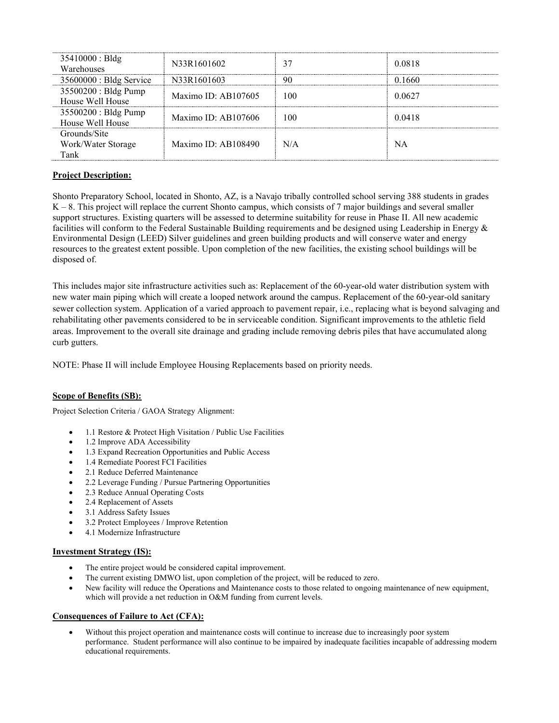| 35410000 : B1dg<br>Warehouses              | N33R1601602           | 37  | 0.0818 |
|--------------------------------------------|-----------------------|-----|--------|
| $35600000$ : Bldg Service                  | N33R1601603           | 90  | 0.1660 |
| 35500200 : Bldg Pump<br>House Well House   | Maximo ID: $AB107605$ | 100 | 0.0627 |
| 35500200 : Bldg Pump<br>House Well House   | Maximo ID: $AB107606$ | 100 | 0.0418 |
| Grounds/Site<br>Work/Water Storage<br>Tank | Maximo ID: $AB108490$ | N/A | NΑ     |

# **Project Description:**

Shonto Preparatory School, located in Shonto, AZ, is a Navajo tribally controlled school serving 388 students in grades K – 8. This project will replace the current Shonto campus, which consists of 7 major buildings and several smaller support structures. Existing quarters will be assessed to determine suitability for reuse in Phase II. All new academic facilities will conform to the Federal Sustainable Building requirements and be designed using Leadership in Energy & Environmental Design (LEED) Silver guidelines and green building products and will conserve water and energy resources to the greatest extent possible. Upon completion of the new facilities, the existing school buildings will be disposed of.

This includes major site infrastructure activities such as: Replacement of the 60-year-old water distribution system with new water main piping which will create a looped network around the campus. Replacement of the 60-year-old sanitary sewer collection system. Application of a varied approach to pavement repair, i.e., replacing what is beyond salvaging and rehabilitating other pavements considered to be in serviceable condition. Significant improvements to the athletic field areas. Improvement to the overall site drainage and grading include removing debris piles that have accumulated along curb gutters.

NOTE: Phase II will include Employee Housing Replacements based on priority needs.

# **Scope of Benefits (SB):**

Project Selection Criteria / GAOA Strategy Alignment:

- 1.1 Restore & Protect High Visitation / Public Use Facilities
- 1.2 Improve ADA Accessibility
- 1.3 Expand Recreation Opportunities and Public Access
- 1.4 Remediate Poorest FCI Facilities
- 2.1 Reduce Deferred Maintenance
- 2.2 Leverage Funding / Pursue Partnering Opportunities
- 2.3 Reduce Annual Operating Costs
- 2.4 Replacement of Assets
- 3.1 Address Safety Issues
- 3.2 Protect Employees / Improve Retention
- 4.1 Modernize Infrastructure

# **Investment Strategy (IS):**

- The entire project would be considered capital improvement.
- The current existing DMWO list, upon completion of the project, will be reduced to zero.
- New facility will reduce the Operations and Maintenance costs to those related to ongoing maintenance of new equipment, which will provide a net reduction in O&M funding from current levels.

#### **Consequences of Failure to Act (CFA):**

• Without this project operation and maintenance costs will continue to increase due to increasingly poor system performance. Student performance will also continue to be impaired by inadequate facilities incapable of addressing modern educational requirements.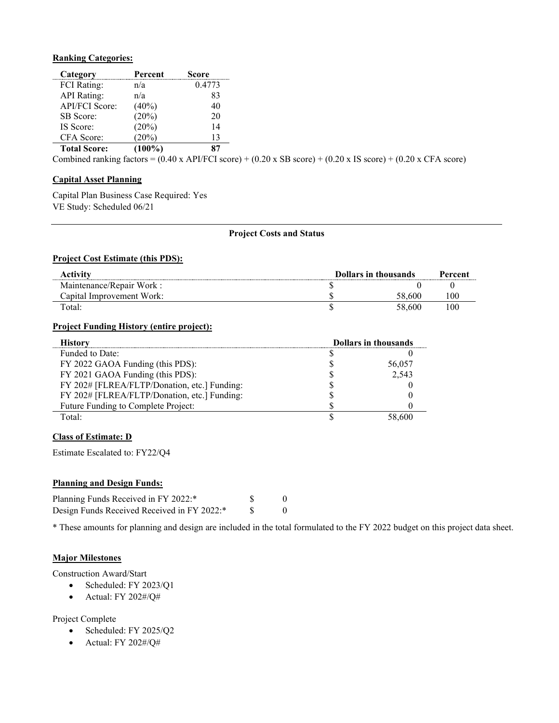#### **Ranking Categories:**

| Category              | Percent   | Score  |
|-----------------------|-----------|--------|
| <b>FCI</b> Rating:    | n/a       | 0.4773 |
| <b>API</b> Rating:    | n/a       | 83     |
| <b>API/FCI Score:</b> | $(40\%)$  | 40     |
| SB Score:             | (20%)     | 20     |
| IS Score:             | (20%)     | 14     |
| CFA Score:            | (20%)     | 13     |
| <b>Total Score:</b>   | $(100\%)$ | 87     |

Combined ranking factors =  $(0.40 \text{ x API/FCI score}) + (0.20 \text{ x SB score}) + (0.20 \text{ x IS score}) + (0.20 \text{ x CFA score})$ 

# **Capital Asset Planning**

Capital Plan Business Case Required: Yes VE Study: Scheduled 06/21

#### **Project Costs and Status**

### **Project Cost Estimate (this PDS):**

| Activitv                  | Dollars in thousands |        | Percent |
|---------------------------|----------------------|--------|---------|
| Maintenance/Repair Work:  |                      |        |         |
| Capital Improvement Work: |                      | .600   |         |
| Total:                    |                      | 58.600 |         |

#### **Project Funding History (entire project):**

| ietorv                                       | <b>Dollars in thousands</b> |
|----------------------------------------------|-----------------------------|
| Funded to Date:                              |                             |
| FY 2022 GAOA Funding (this PDS):             | 56,057                      |
| FY 2021 GAOA Funding (this PDS):             | 2,543                       |
| FY 202# [FLREA/FLTP/Donation, etc.] Funding: |                             |
| FY 202# [FLREA/FLTP/Donation, etc.] Funding: |                             |
| Future Funding to Complete Project:          |                             |
| Total:                                       |                             |

### **Class of Estimate: D**

Estimate Escalated to: FY22/Q4

### **Planning and Design Funds:**

| Planning Funds Received in FY 2022:*        |  |
|---------------------------------------------|--|
| Design Funds Received Received in FY 2022:* |  |

\* These amounts for planning and design are included in the total formulated to the FY 2022 budget on this project data sheet.

### **Major Milestones**

Construction Award/Start

- Scheduled: FY 2023/Q1
- Actual: FY 202#/Q#

Project Complete

- Scheduled: FY 2025/Q2
- Actual: FY 202#/Q#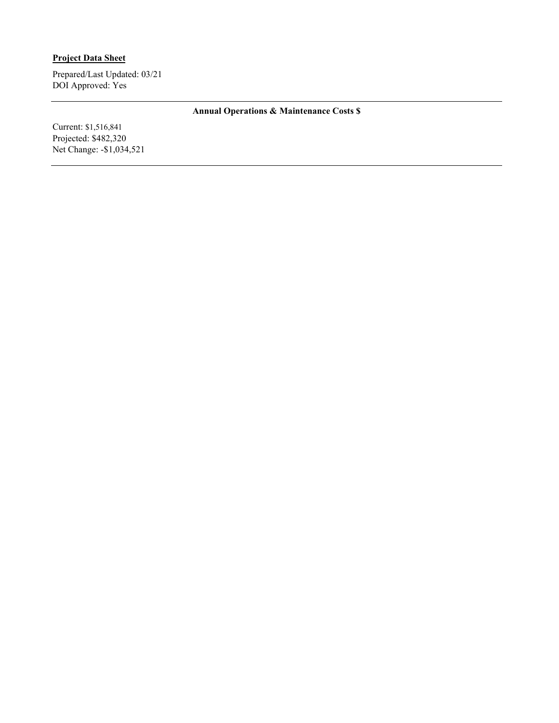# **Project Data Sheet**

Prepared/Last Updated: 03/21 DOI Approved: Yes

# **Annual Operations & Maintenance Costs \$**

Current: \$1,516,841 Projected: \$482,320 Net Change: -\$1,034,521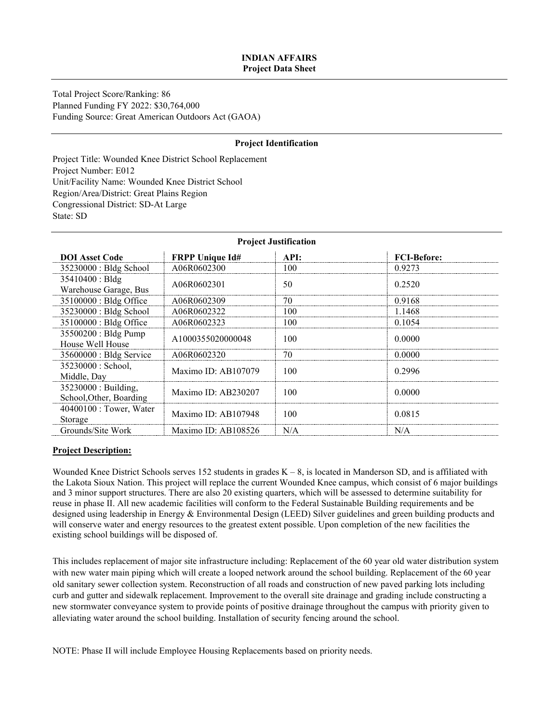# **INDIAN AFFAIRS Project Data Sheet**

Total Project Score/Ranking: 86 Planned Funding FY 2022: \$30,764,000 Funding Source: Great American Outdoors Act (GAOA)

### **Project Identification**

Project Title: Wounded Knee District School Replacement Project Number: E012 Unit/Facility Name: Wounded Knee District School Region/Area/District: Great Plains Region Congressional District: SD-At Large State: SD

| <b>FRPP Unique Id#</b> | API: | <b>FCI-Before:</b>      |  |  |  |
|------------------------|------|-------------------------|--|--|--|
| A06R0602300            | 100  | 0.9273                  |  |  |  |
| A06R0602301            | 50   | 0.2520                  |  |  |  |
| A06R0602309            | 70   | 0.9168                  |  |  |  |
| A06R0602322            | 100  | 1.1468                  |  |  |  |
| A06R0602323            | 100  | 0.1054                  |  |  |  |
| A1000355020000048      | 100  | 0.0000                  |  |  |  |
| A06R0602320            | 70   | 0.0000                  |  |  |  |
| Maximo ID: AB107079    | 100  | 0.2996                  |  |  |  |
| Maximo ID: AB230207    | 100  | 0.0000                  |  |  |  |
| Maximo ID: AB107948    | 100  | 0.0815                  |  |  |  |
| Maximo ID: AB108526    | N/A  | N/A                     |  |  |  |
|                        |      | 110 juund vastiin ambii |  |  |  |

# **Project Justification**

#### **Project Description:**

Wounded Knee District Schools serves 152 students in grades  $K - 8$ , is located in Manderson SD, and is affiliated with the Lakota Sioux Nation. This project will replace the current Wounded Knee campus, which consist of 6 major buildings and 3 minor support structures. There are also 20 existing quarters, which will be assessed to determine suitability for reuse in phase II. All new academic facilities will conform to the Federal Sustainable Building requirements and be designed using leadership in Energy & Environmental Design (LEED) Silver guidelines and green building products and will conserve water and energy resources to the greatest extent possible. Upon completion of the new facilities the existing school buildings will be disposed of.

This includes replacement of major site infrastructure including: Replacement of the 60 year old water distribution system with new water main piping which will create a looped network around the school building. Replacement of the 60 year old sanitary sewer collection system. Reconstruction of all roads and construction of new paved parking lots including curb and gutter and sidewalk replacement. Improvement to the overall site drainage and grading include constructing a new stormwater conveyance system to provide points of positive drainage throughout the campus with priority given to alleviating water around the school building. Installation of security fencing around the school.

NOTE: Phase II will include Employee Housing Replacements based on priority needs.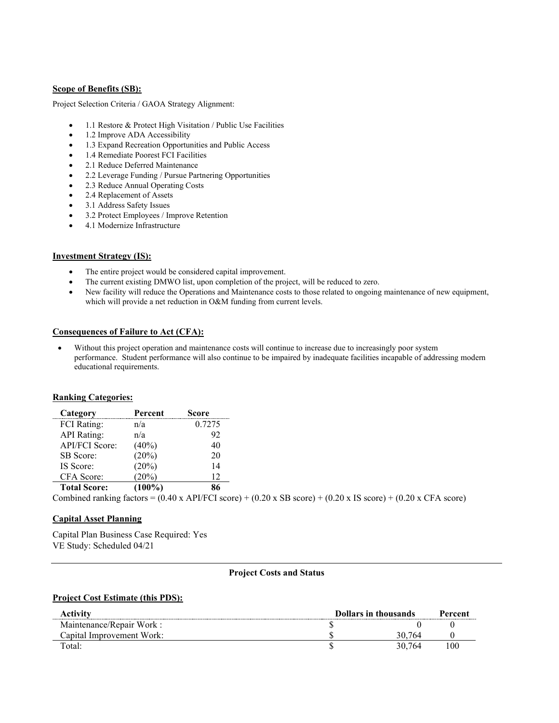#### **Scope of Benefits (SB):**

Project Selection Criteria / GAOA Strategy Alignment:

- 1.1 Restore & Protect High Visitation / Public Use Facilities
- 1.2 Improve ADA Accessibility
- 1.3 Expand Recreation Opportunities and Public Access
- 1.4 Remediate Poorest FCI Facilities
- 2.1 Reduce Deferred Maintenance
- 2.2 Leverage Funding / Pursue Partnering Opportunities
- 2.3 Reduce Annual Operating Costs
- 2.4 Replacement of Assets
- 3.1 Address Safety Issues
- 3.2 Protect Employees / Improve Retention
- 4.1 Modernize Infrastructure

### **Investment Strategy (IS):**

- The entire project would be considered capital improvement.
- The current existing DMWO list, upon completion of the project, will be reduced to zero.
- New facility will reduce the Operations and Maintenance costs to those related to ongoing maintenance of new equipment, which will provide a net reduction in O&M funding from current levels.

### **Consequences of Failure to Act (CFA):**

Without this project operation and maintenance costs will continue to increase due to increasingly poor system performance. Student performance will also continue to be impaired by inadequate facilities incapable of addressing modern educational requirements.

#### **Ranking Categories:**

| Category            | Percent   | Score  |                                                                                                                                      |
|---------------------|-----------|--------|--------------------------------------------------------------------------------------------------------------------------------------|
| <b>FCI</b> Rating:  | n/a       | 0.7275 |                                                                                                                                      |
| <b>API</b> Rating:  | n/a       | 92     |                                                                                                                                      |
| API/FCI Score:      | $(40\%)$  | 40     |                                                                                                                                      |
| SB Score:           | $(20\%)$  | 20     |                                                                                                                                      |
| IS Score:           | (20%)     | 14     |                                                                                                                                      |
| CFA Score:          | $(20\%)$  | 12     |                                                                                                                                      |
| <b>Total Score:</b> | $(100\%)$ | 86     |                                                                                                                                      |
|                     |           |        | Combined ranking factors = $(0.40 \times API/FCI score) + (0.20 \times SB score) + (0.20 \times IS score) + (0.20 \times CFA score)$ |

#### **Capital Asset Planning**

Capital Plan Business Case Required: Yes VE Study: Scheduled 04/21

#### **Project Costs and Status**

#### **Project Cost Estimate (this PDS):**

| Activitv                  | <b>Dollars in thousands</b> |        | Percent |
|---------------------------|-----------------------------|--------|---------|
| Maintenance/Repair Work:  |                             |        |         |
| Capital Improvement Work: |                             | 764    |         |
| Total:                    |                             | 30.764 | -00     |